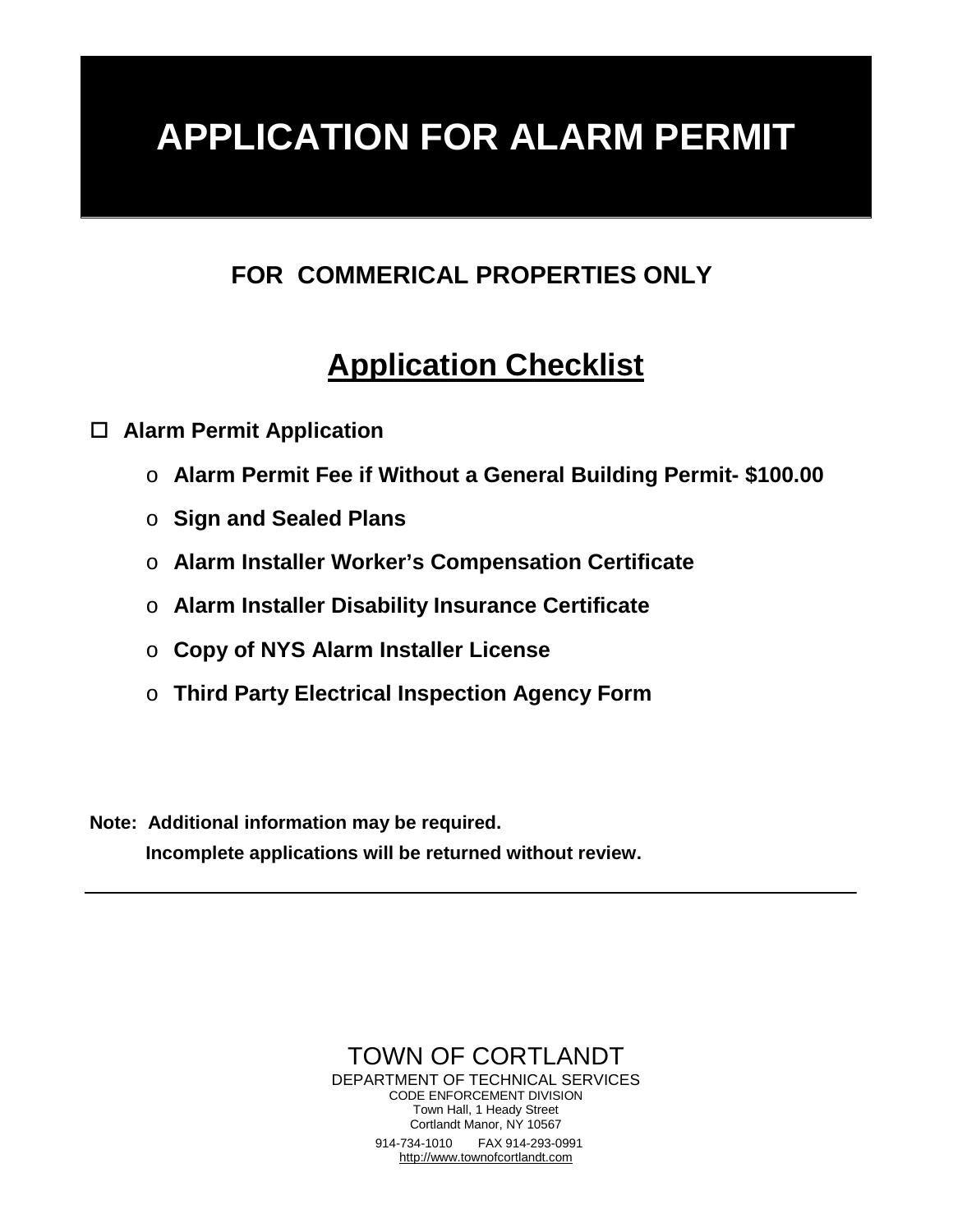# **APPLICATION FOR ALARM PERMIT**

## **FOR COMMERICAL PROPERTIES ONLY**

# **Application Checklist**

**Alarm Permit Application**

- o **Alarm Permit Fee if Without a General Building Permit- \$100.00**
- o **Sign and Sealed Plans**
- o **Alarm Installer Worker's Compensation Certificate**
- o **Alarm Installer Disability Insurance Certificate**
- o **Copy of NYS Alarm Installer License**
- o **Third Party Electrical Inspection Agency Form**

**Note: Additional information may be required. Incomplete applications will be returned without review.**

> TOWN OF CORTLANDT DEPARTMENT OF TECHNICAL SERVICES CODE ENFORCEMENT DIVISION Town Hall, 1 Heady Street Cortlandt Manor, NY 10567 914-734-1010 FAX 914-293-0991 [http://www.townofcortlandt.com](http://www.townofcortlandt.com/)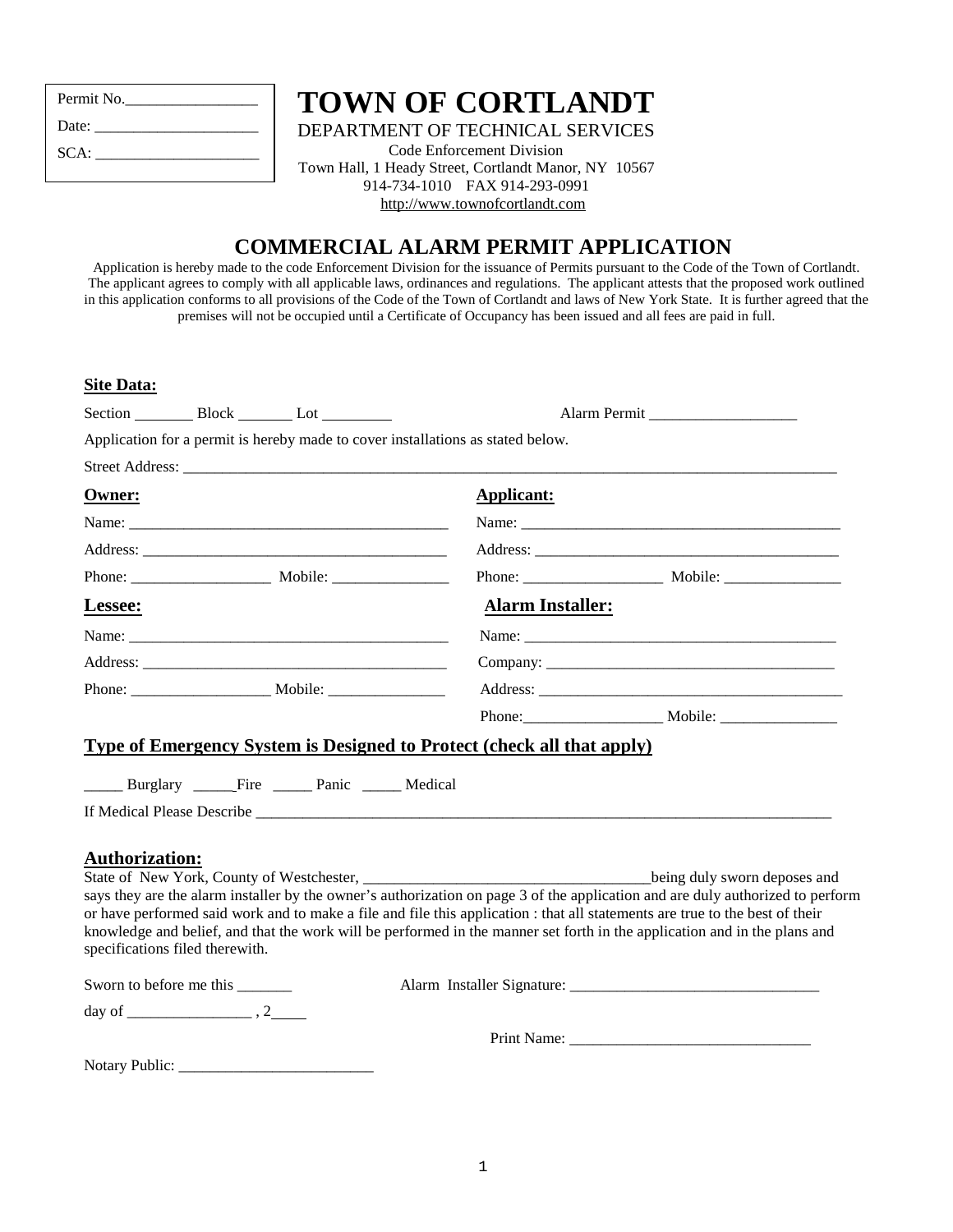| Permit No. |
|------------|
| Date:      |
| SCA:       |
|            |

# **TOWN OF CORTLANDT**

DEPARTMENT OF TECHNICAL SERVICES

Code Enforcement Division Town Hall, 1 Heady Street, Cortlandt Manor, NY 10567 914-734-1010 FAX 914-293-0991 [http://www.townofcortlandt.com](http://www.townofcortlandt.com/) 

### **COMMERCIAL ALARM PERMIT APPLICATION**

Application is hereby made to the code Enforcement Division for the issuance of Permits pursuant to the Code of the Town of Cortlandt. The applicant agrees to comply with all applicable laws, ordinances and regulations. The applicant attests that the proposed work outlined in this application conforms to all provisions of the Code of the Town of Cortlandt and laws of New York State. It is further agreed that the premises will not be occupied until a Certificate of Occupancy has been issued and all fees are paid in full.

| <b>Site Data:</b> |
|-------------------|
|                   |

|                       |                                                           | Application for a permit is hereby made to cover installations as stated below. |                                                                                                                                                                                                                                |
|-----------------------|-----------------------------------------------------------|---------------------------------------------------------------------------------|--------------------------------------------------------------------------------------------------------------------------------------------------------------------------------------------------------------------------------|
|                       |                                                           |                                                                                 |                                                                                                                                                                                                                                |
| <b>Owner:</b>         |                                                           | <b>Applicant:</b>                                                               |                                                                                                                                                                                                                                |
|                       | Name: <u>Name:</u> 2004                                   |                                                                                 |                                                                                                                                                                                                                                |
|                       |                                                           |                                                                                 |                                                                                                                                                                                                                                |
|                       |                                                           |                                                                                 |                                                                                                                                                                                                                                |
| Lessee:               |                                                           | <b>Alarm Installer:</b>                                                         |                                                                                                                                                                                                                                |
|                       |                                                           |                                                                                 |                                                                                                                                                                                                                                |
|                       |                                                           |                                                                                 |                                                                                                                                                                                                                                |
|                       |                                                           |                                                                                 |                                                                                                                                                                                                                                |
|                       |                                                           |                                                                                 |                                                                                                                                                                                                                                |
|                       |                                                           | <b>Type of Emergency System is Designed to Protect (check all that apply)</b>   |                                                                                                                                                                                                                                |
|                       | ______ Burglary ________Fire _______ Panic ______ Medical |                                                                                 |                                                                                                                                                                                                                                |
|                       |                                                           |                                                                                 |                                                                                                                                                                                                                                |
|                       |                                                           |                                                                                 |                                                                                                                                                                                                                                |
| <b>Authorization:</b> |                                                           |                                                                                 |                                                                                                                                                                                                                                |
|                       |                                                           |                                                                                 | being duly sworn deposes and                                                                                                                                                                                                   |
|                       |                                                           |                                                                                 | says they are the alarm installer by the owner's authorization on page 3 of the application and are duly authorized to perform                                                                                                 |
|                       |                                                           |                                                                                 | or have performed said work and to make a file and file this application : that all statements are true to the best of their                                                                                                   |
|                       | specifications filed therewith.                           |                                                                                 | knowledge and belief, and that the work will be performed in the manner set forth in the application and in the plans and                                                                                                      |
|                       |                                                           |                                                                                 |                                                                                                                                                                                                                                |
|                       | Sworn to before me this ________                          |                                                                                 |                                                                                                                                                                                                                                |
|                       |                                                           |                                                                                 |                                                                                                                                                                                                                                |
|                       |                                                           |                                                                                 | Print Name: 2008. Expanding the Manuscript of the Manuscript of the Manuscript of the Manuscript of the Manuscript of the Manuscript of the Manuscript of the Manuscript of the Manuscript of the Manuscript of the Manuscript |
|                       | Notary Public: _____________                              |                                                                                 |                                                                                                                                                                                                                                |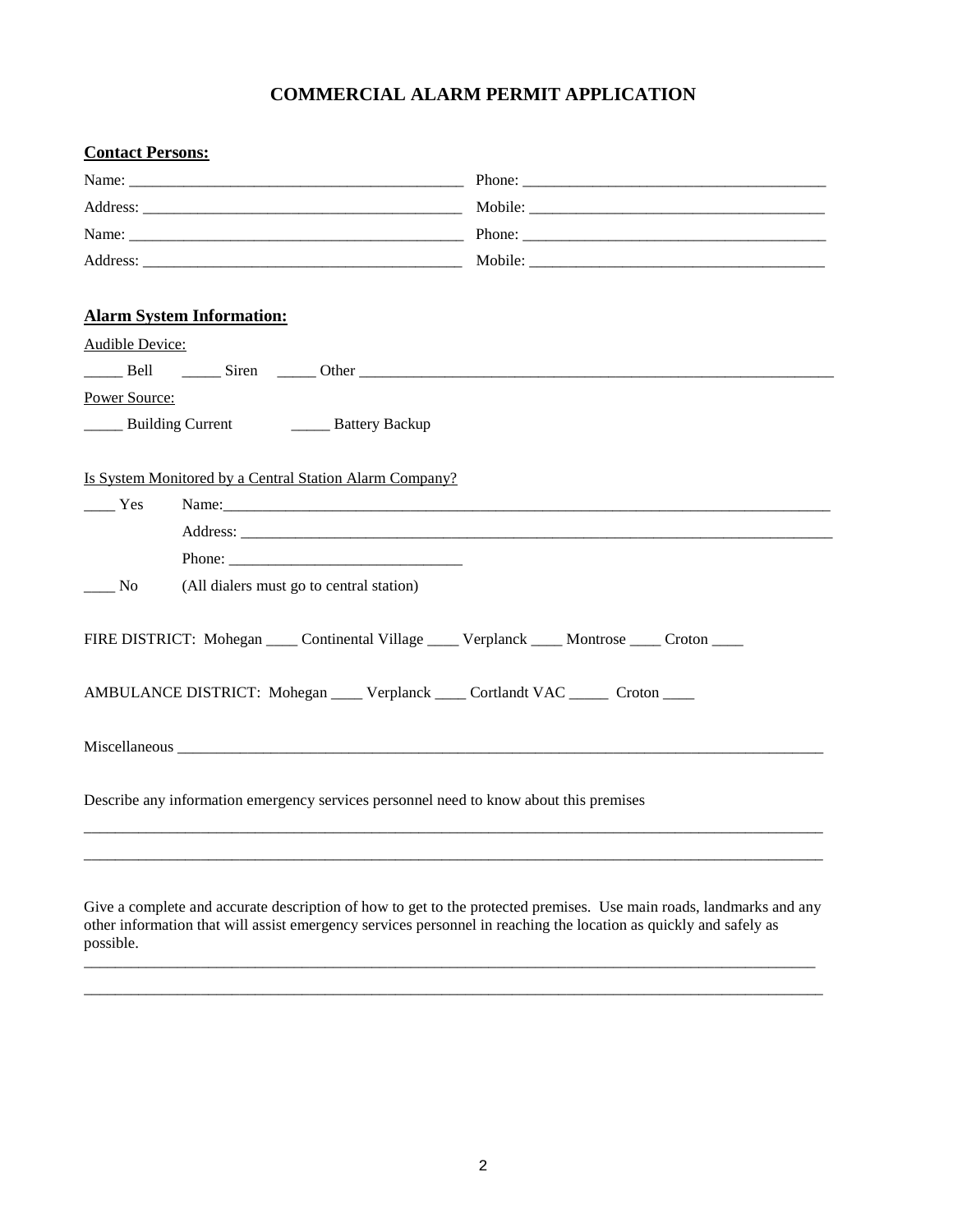### **COMMERCIAL ALARM PERMIT APPLICATION**

| <b>Contact Persons:</b> |                                                                                                                                                                                                                               |  |
|-------------------------|-------------------------------------------------------------------------------------------------------------------------------------------------------------------------------------------------------------------------------|--|
|                         |                                                                                                                                                                                                                               |  |
|                         |                                                                                                                                                                                                                               |  |
|                         |                                                                                                                                                                                                                               |  |
|                         |                                                                                                                                                                                                                               |  |
|                         | <b>Alarm System Information:</b>                                                                                                                                                                                              |  |
| Audible Device:         |                                                                                                                                                                                                                               |  |
|                         |                                                                                                                                                                                                                               |  |
| Power Source:           |                                                                                                                                                                                                                               |  |
|                         | <b>EXECUTE:</b> Building Current <b>EXECUTE:</b> Battery Backup                                                                                                                                                               |  |
|                         | Is System Monitored by a Central Station Alarm Company?                                                                                                                                                                       |  |
| $\frac{1}{1}$ Yes       | Name: Name and the same state of the same state of the same state of the same state of the same state of the same state of the same state of the same state of the same state of the same state of the same state of the same |  |
|                         |                                                                                                                                                                                                                               |  |
| $\frac{1}{100}$ No      | (All dialers must go to central station)                                                                                                                                                                                      |  |
|                         | FIRE DISTRICT: Mohegan _____ Continental Village _____ Verplanck _____ Montrose _____ Croton ____                                                                                                                             |  |
|                         | AMBULANCE DISTRICT: Mohegan _____ Verplanck _____ Cortlandt VAC ______ Croton ____                                                                                                                                            |  |
|                         |                                                                                                                                                                                                                               |  |
|                         | Describe any information emergency services personnel need to know about this premises                                                                                                                                        |  |
|                         |                                                                                                                                                                                                                               |  |

Give a complete and accurate description of how to get to the protected premises. Use main roads, landmarks and any other information that will assist emergency services personnel in reaching the location as quickly and safely as possible.

\_\_\_\_\_\_\_\_\_\_\_\_\_\_\_\_\_\_\_\_\_\_\_\_\_\_\_\_\_\_\_\_\_\_\_\_\_\_\_\_\_\_\_\_\_\_\_\_\_\_\_\_\_\_\_\_\_\_\_\_\_\_\_\_\_\_\_\_\_\_\_\_\_\_\_\_\_\_\_\_\_\_\_\_\_\_\_\_\_\_\_\_\_\_ \_\_\_\_\_\_\_\_\_\_\_\_\_\_\_\_\_\_\_\_\_\_\_\_\_\_\_\_\_\_\_\_\_\_\_\_\_\_\_\_\_\_\_\_\_\_\_\_\_\_\_\_\_\_\_\_\_\_\_\_\_\_\_\_\_\_\_\_\_\_\_\_\_\_\_\_\_\_\_\_\_\_\_\_\_\_\_\_\_\_\_\_\_\_\_